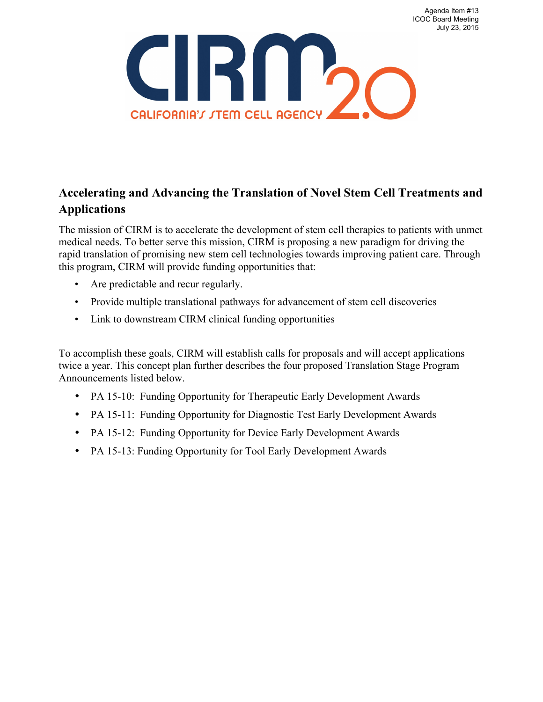

# **Accelerating and Advancing the Translation of Novel Stem Cell Treatments and Applications**

The mission of CIRM is to accelerate the development of stem cell therapies to patients with unmet medical needs. To better serve this mission, CIRM is proposing a new paradigm for driving the rapid translation of promising new stem cell technologies towards improving patient care. Through this program, CIRM will provide funding opportunities that:

- Are predictable and recur regularly.
- Provide multiple translational pathways for advancement of stem cell discoveries
- Link to downstream CIRM clinical funding opportunities

To accomplish these goals, CIRM will establish calls for proposals and will accept applications twice a year. This concept plan further describes the four proposed Translation Stage Program Announcements listed below.

- PA 15-10: Funding Opportunity for Therapeutic Early Development Awards
- PA 15-11: Funding Opportunity for Diagnostic Test Early Development Awards
- PA 15-12: Funding Opportunity for Device Early Development Awards
- PA 15-13: Funding Opportunity for Tool Early Development Awards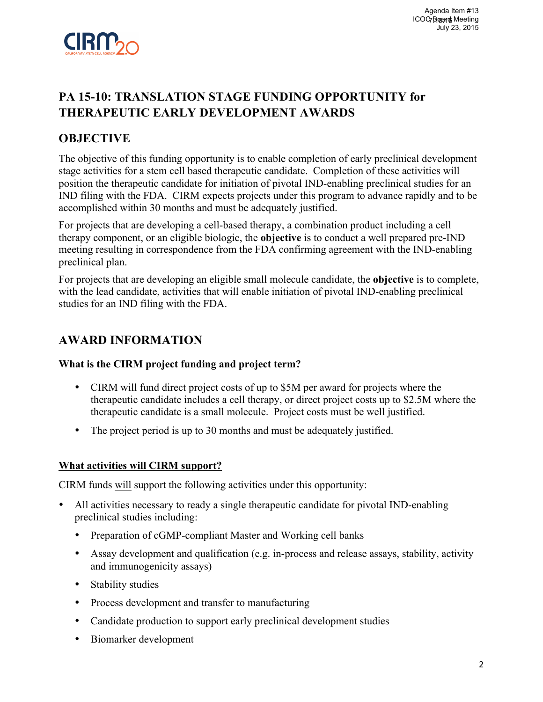

# **PA 15-10: TRANSLATION STAGE FUNDING OPPORTUNITY for THERAPEUTIC EARLY DEVELOPMENT AWARDS**

## **OBJECTIVE**

The objective of this funding opportunity is to enable completion of early preclinical development stage activities for a stem cell based therapeutic candidate. Completion of these activities will position the therapeutic candidate for initiation of pivotal IND-enabling preclinical studies for an IND filing with the FDA. CIRM expects projects under this program to advance rapidly and to be accomplished within 30 months and must be adequately justified.

For projects that are developing a cell-based therapy, a combination product including a cell therapy component, or an eligible biologic, the **objective** is to conduct a well prepared pre-IND meeting resulting in correspondence from the FDA confirming agreement with the IND-enabling preclinical plan.

For projects that are developing an eligible small molecule candidate, the **objective** is to complete, with the lead candidate, activities that will enable initiation of pivotal IND-enabling preclinical studies for an IND filing with the FDA.

## **AWARD INFORMATION**

#### **What is the CIRM project funding and project term?**

- CIRM will fund direct project costs of up to \$5M per award for projects where the therapeutic candidate includes a cell therapy, or direct project costs up to \$2.5M where the therapeutic candidate is a small molecule. Project costs must be well justified.
- The project period is up to 30 months and must be adequately justified.

#### **What activities will CIRM support?**

CIRM funds will support the following activities under this opportunity:

- All activities necessary to ready a single therapeutic candidate for pivotal IND-enabling preclinical studies including:
	- Preparation of cGMP-compliant Master and Working cell banks
	- Assay development and qualification (e.g. in-process and release assays, stability, activity and immunogenicity assays)
	- Stability studies
	- Process development and transfer to manufacturing
	- Candidate production to support early preclinical development studies
	- Biomarker development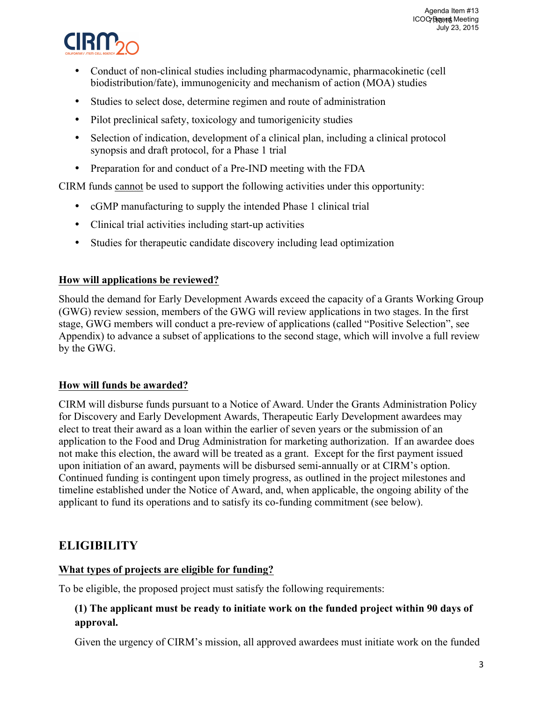

- Conduct of non-clinical studies including pharmacodynamic, pharmacokinetic (cell biodistribution/fate), immunogenicity and mechanism of action (MOA) studies
- Studies to select dose, determine regimen and route of administration
- Pilot preclinical safety, toxicology and tumorigenicity studies
- Selection of indication, development of a clinical plan, including a clinical protocol synopsis and draft protocol, for a Phase 1 trial
- Preparation for and conduct of a Pre-IND meeting with the FDA

CIRM funds cannot be used to support the following activities under this opportunity:

- cGMP manufacturing to supply the intended Phase 1 clinical trial
- Clinical trial activities including start-up activities
- Studies for therapeutic candidate discovery including lead optimization

### **How will applications be reviewed?**

Should the demand for Early Development Awards exceed the capacity of a Grants Working Group (GWG) review session, members of the GWG will review applications in two stages. In the first stage, GWG members will conduct a pre-review of applications (called "Positive Selection", see Appendix) to advance a subset of applications to the second stage, which will involve a full review by the GWG.

## **How will funds be awarded?**

CIRM will disburse funds pursuant to a Notice of Award. Under the Grants Administration Policy for Discovery and Early Development Awards, Therapeutic Early Development awardees may elect to treat their award as a loan within the earlier of seven years or the submission of an application to the Food and Drug Administration for marketing authorization. If an awardee does not make this election, the award will be treated as a grant. Except for the first payment issued upon initiation of an award, payments will be disbursed semi-annually or at CIRM's option. Continued funding is contingent upon timely progress, as outlined in the project milestones and timeline established under the Notice of Award, and, when applicable, the ongoing ability of the applicant to fund its operations and to satisfy its co-funding commitment (see below).

## **ELIGIBILITY**

## **What types of projects are eligible for funding?**

To be eligible, the proposed project must satisfy the following requirements:

## **(1) The applicant must be ready to initiate work on the funded project within 90 days of approval.**

Given the urgency of CIRM's mission, all approved awardees must initiate work on the funded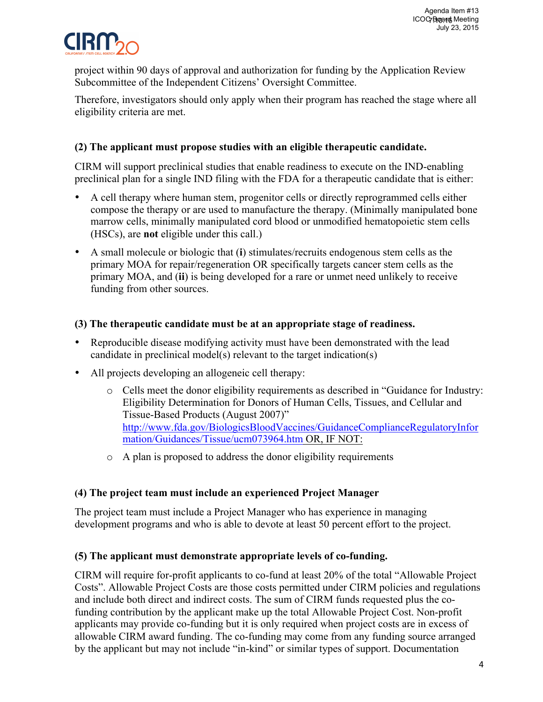

project within 90 days of approval and authorization for funding by the Application Review Subcommittee of the Independent Citizens' Oversight Committee.

Therefore, investigators should only apply when their program has reached the stage where all eligibility criteria are met.

### **(2) The applicant must propose studies with an eligible therapeutic candidate.**

CIRM will support preclinical studies that enable readiness to execute on the IND-enabling preclinical plan for a single IND filing with the FDA for a therapeutic candidate that is either:

- A cell therapy where human stem, progenitor cells or directly reprogrammed cells either compose the therapy or are used to manufacture the therapy. (Minimally manipulated bone marrow cells, minimally manipulated cord blood or unmodified hematopoietic stem cells (HSCs), are **not** eligible under this call.)
- A small molecule or biologic that (**i**) stimulates/recruits endogenous stem cells as the primary MOA for repair/regeneration OR specifically targets cancer stem cells as the primary MOA, and (**ii**) is being developed for a rare or unmet need unlikely to receive funding from other sources.

#### **(3) The therapeutic candidate must be at an appropriate stage of readiness.**

- Reproducible disease modifying activity must have been demonstrated with the lead candidate in preclinical model(s) relevant to the target indication(s)
- All projects developing an allogeneic cell therapy:
	- o Cells meet the donor eligibility requirements as described in "Guidance for Industry: Eligibility Determination for Donors of Human Cells, Tissues, and Cellular and Tissue-Based Products (August 2007)" http://www.fda.gov/BiologicsBloodVaccines/GuidanceComplianceRegulatoryInfor mation/Guidances/Tissue/ucm073964.htm OR, IF NOT:
	- o A plan is proposed to address the donor eligibility requirements

#### **(4) The project team must include an experienced Project Manager**

The project team must include a Project Manager who has experience in managing development programs and who is able to devote at least 50 percent effort to the project.

#### **(5) The applicant must demonstrate appropriate levels of co-funding.**

CIRM will require for-profit applicants to co-fund at least 20% of the total "Allowable Project Costs". Allowable Project Costs are those costs permitted under CIRM policies and regulations and include both direct and indirect costs. The sum of CIRM funds requested plus the cofunding contribution by the applicant make up the total Allowable Project Cost. Non-profit applicants may provide co-funding but it is only required when project costs are in excess of allowable CIRM award funding. The co-funding may come from any funding source arranged by the applicant but may not include "in-kind" or similar types of support. Documentation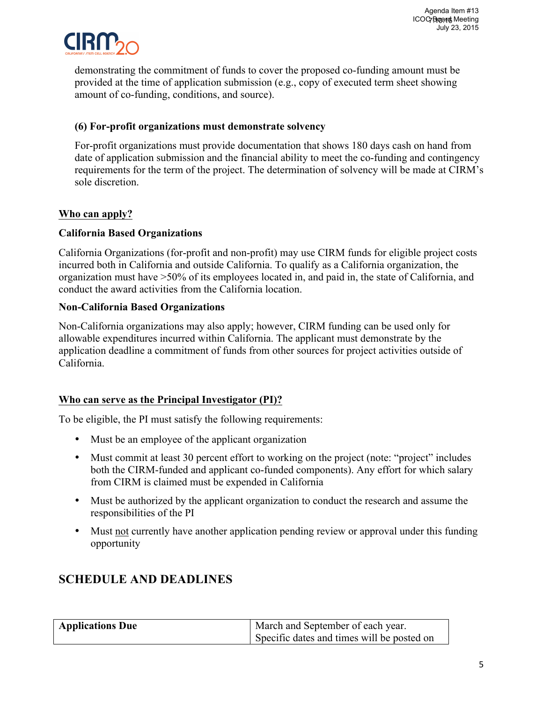

demonstrating the commitment of funds to cover the proposed co-funding amount must be provided at the time of application submission (e.g., copy of executed term sheet showing amount of co-funding, conditions, and source).

### **(6) For-profit organizations must demonstrate solvency**

For-profit organizations must provide documentation that shows 180 days cash on hand from date of application submission and the financial ability to meet the co-funding and contingency requirements for the term of the project. The determination of solvency will be made at CIRM's sole discretion.

## **Who can apply?**

### **California Based Organizations**

California Organizations (for-profit and non-profit) may use CIRM funds for eligible project costs incurred both in California and outside California. To qualify as a California organization, the organization must have >50% of its employees located in, and paid in, the state of California, and conduct the award activities from the California location.

### **Non-California Based Organizations**

Non-California organizations may also apply; however, CIRM funding can be used only for allowable expenditures incurred within California. The applicant must demonstrate by the application deadline a commitment of funds from other sources for project activities outside of California.

#### **Who can serve as the Principal Investigator (PI)?**

To be eligible, the PI must satisfy the following requirements:

- Must be an employee of the applicant organization
- Must commit at least 30 percent effort to working on the project (note: "project" includes both the CIRM-funded and applicant co-funded components). Any effort for which salary from CIRM is claimed must be expended in California
- Must be authorized by the applicant organization to conduct the research and assume the responsibilities of the PI
- Must not currently have another application pending review or approval under this funding opportunity

| <b>Applications Due</b> | March and September of each year.          |
|-------------------------|--------------------------------------------|
|                         | Specific dates and times will be posted on |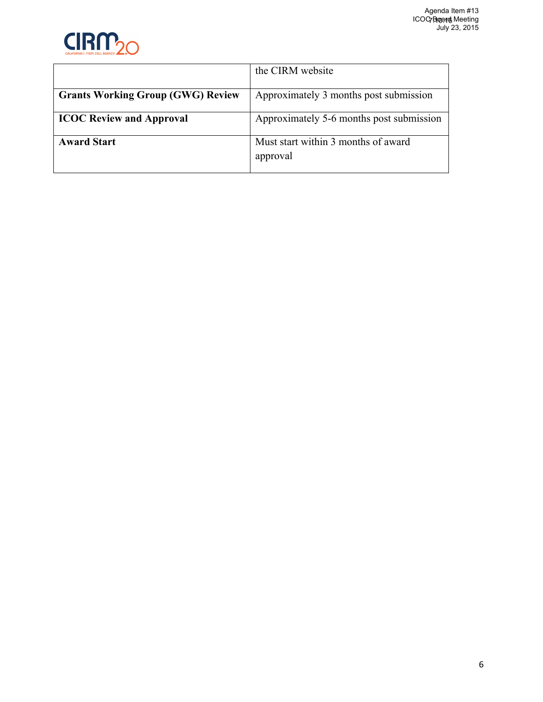

|                                          | the CIRM website                                |
|------------------------------------------|-------------------------------------------------|
| <b>Grants Working Group (GWG) Review</b> | Approximately 3 months post submission          |
| <b>ICOC Review and Approval</b>          | Approximately 5-6 months post submission        |
| <b>Award Start</b>                       | Must start within 3 months of award<br>approval |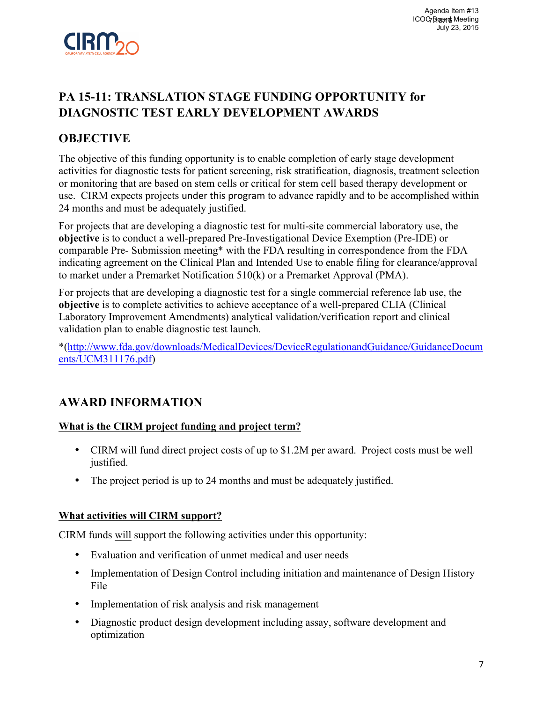

# **PA 15-11: TRANSLATION STAGE FUNDING OPPORTUNITY for DIAGNOSTIC TEST EARLY DEVELOPMENT AWARDS**

## **OBJECTIVE**

The objective of this funding opportunity is to enable completion of early stage development activities for diagnostic tests for patient screening, risk stratification, diagnosis, treatment selection or monitoring that are based on stem cells or critical for stem cell based therapy development or use. CIRM expects projects under this program to advance rapidly and to be accomplished within 24 months and must be adequately justified.

For projects that are developing a diagnostic test for multi-site commercial laboratory use, the **objective** is to conduct a well-prepared Pre-Investigational Device Exemption (Pre-IDE) or comparable Pre- Submission meeting\* with the FDA resulting in correspondence from the FDA indicating agreement on the Clinical Plan and Intended Use to enable filing for clearance/approval to market under a Premarket Notification 510(k) or a Premarket Approval (PMA).

For projects that are developing a diagnostic test for a single commercial reference lab use, the **objective** is to complete activities to achieve acceptance of a well-prepared CLIA (Clinical Laboratory Improvement Amendments) analytical validation/verification report and clinical validation plan to enable diagnostic test launch.

\*(http://www.fda.gov/downloads/MedicalDevices/DeviceRegulationandGuidance/GuidanceDocum ents/UCM311176.pdf)

## **AWARD INFORMATION**

## **What is the CIRM project funding and project term?**

- CIRM will fund direct project costs of up to \$1.2M per award. Project costs must be well justified.
- The project period is up to 24 months and must be adequately justified.

## **What activities will CIRM support?**

CIRM funds will support the following activities under this opportunity:

- Evaluation and verification of unmet medical and user needs
- Implementation of Design Control including initiation and maintenance of Design History File
- Implementation of risk analysis and risk management
- Diagnostic product design development including assay, software development and optimization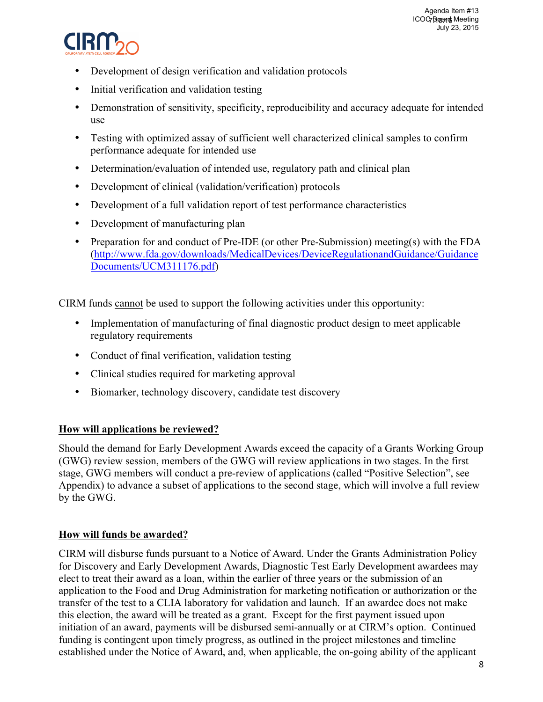

- Development of design verification and validation protocols
- Initial verification and validation testing
- Demonstration of sensitivity, specificity, reproducibility and accuracy adequate for intended use
- Testing with optimized assay of sufficient well characterized clinical samples to confirm performance adequate for intended use
- Determination/evaluation of intended use, regulatory path and clinical plan
- Development of clinical (validation/verification) protocols
- Development of a full validation report of test performance characteristics
- Development of manufacturing plan
- Preparation for and conduct of Pre-IDE (or other Pre-Submission) meeting(s) with the FDA (http://www.fda.gov/downloads/MedicalDevices/DeviceRegulationandGuidance/Guidance Documents/UCM311176.pdf)

CIRM funds cannot be used to support the following activities under this opportunity:

- Implementation of manufacturing of final diagnostic product design to meet applicable regulatory requirements
- Conduct of final verification, validation testing
- Clinical studies required for marketing approval
- Biomarker, technology discovery, candidate test discovery

#### **How will applications be reviewed?**

Should the demand for Early Development Awards exceed the capacity of a Grants Working Group (GWG) review session, members of the GWG will review applications in two stages. In the first stage, GWG members will conduct a pre-review of applications (called "Positive Selection", see Appendix) to advance a subset of applications to the second stage, which will involve a full review by the GWG.

#### **How will funds be awarded?**

CIRM will disburse funds pursuant to a Notice of Award. Under the Grants Administration Policy for Discovery and Early Development Awards, Diagnostic Test Early Development awardees may elect to treat their award as a loan, within the earlier of three years or the submission of an application to the Food and Drug Administration for marketing notification or authorization or the transfer of the test to a CLIA laboratory for validation and launch. If an awardee does not make this election, the award will be treated as a grant. Except for the first payment issued upon initiation of an award, payments will be disbursed semi-annually or at CIRM's option. Continued funding is contingent upon timely progress, as outlined in the project milestones and timeline established under the Notice of Award, and, when applicable, the on-going ability of the applicant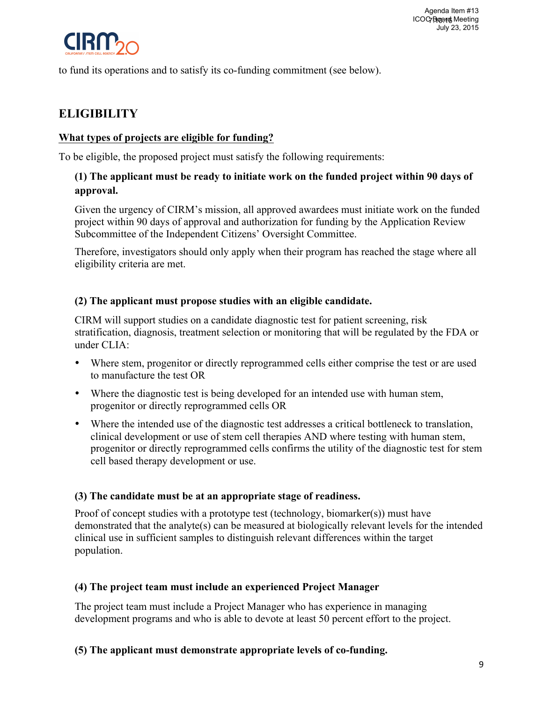

to fund its operations and to satisfy its co-funding commitment (see below).

# **ELIGIBILITY**

## **What types of projects are eligible for funding?**

To be eligible, the proposed project must satisfy the following requirements:

## **(1) The applicant must be ready to initiate work on the funded project within 90 days of approval.**

Given the urgency of CIRM's mission, all approved awardees must initiate work on the funded project within 90 days of approval and authorization for funding by the Application Review Subcommittee of the Independent Citizens' Oversight Committee.

Therefore, investigators should only apply when their program has reached the stage where all eligibility criteria are met.

### **(2) The applicant must propose studies with an eligible candidate.**

CIRM will support studies on a candidate diagnostic test for patient screening, risk stratification, diagnosis, treatment selection or monitoring that will be regulated by the FDA or under CLIA:

- Where stem, progenitor or directly reprogrammed cells either comprise the test or are used to manufacture the test OR
- Where the diagnostic test is being developed for an intended use with human stem, progenitor or directly reprogrammed cells OR
- Where the intended use of the diagnostic test addresses a critical bottleneck to translation, clinical development or use of stem cell therapies AND where testing with human stem, progenitor or directly reprogrammed cells confirms the utility of the diagnostic test for stem cell based therapy development or use.

#### **(3) The candidate must be at an appropriate stage of readiness.**

Proof of concept studies with a prototype test (technology, biomarker(s)) must have demonstrated that the analyte(s) can be measured at biologically relevant levels for the intended clinical use in sufficient samples to distinguish relevant differences within the target population.

## **(4) The project team must include an experienced Project Manager**

The project team must include a Project Manager who has experience in managing development programs and who is able to devote at least 50 percent effort to the project.

#### **(5) The applicant must demonstrate appropriate levels of co-funding.**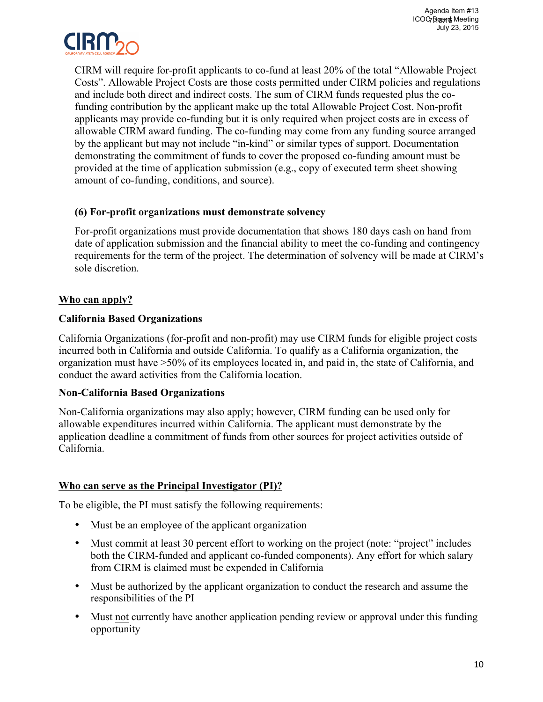

CIRM will require for-profit applicants to co-fund at least 20% of the total "Allowable Project Costs". Allowable Project Costs are those costs permitted under CIRM policies and regulations and include both direct and indirect costs. The sum of CIRM funds requested plus the cofunding contribution by the applicant make up the total Allowable Project Cost. Non-profit applicants may provide co-funding but it is only required when project costs are in excess of allowable CIRM award funding. The co-funding may come from any funding source arranged by the applicant but may not include "in-kind" or similar types of support. Documentation demonstrating the commitment of funds to cover the proposed co-funding amount must be provided at the time of application submission (e.g., copy of executed term sheet showing amount of co-funding, conditions, and source).

### **(6) For-profit organizations must demonstrate solvency**

For-profit organizations must provide documentation that shows 180 days cash on hand from date of application submission and the financial ability to meet the co-funding and contingency requirements for the term of the project. The determination of solvency will be made at CIRM's sole discretion.

## **Who can apply?**

### **California Based Organizations**

California Organizations (for-profit and non-profit) may use CIRM funds for eligible project costs incurred both in California and outside California. To qualify as a California organization, the organization must have >50% of its employees located in, and paid in, the state of California, and conduct the award activities from the California location.

#### **Non-California Based Organizations**

Non-California organizations may also apply; however, CIRM funding can be used only for allowable expenditures incurred within California. The applicant must demonstrate by the application deadline a commitment of funds from other sources for project activities outside of California.

## **Who can serve as the Principal Investigator (PI)?**

To be eligible, the PI must satisfy the following requirements:

- Must be an employee of the applicant organization
- Must commit at least 30 percent effort to working on the project (note: "project" includes both the CIRM-funded and applicant co-funded components). Any effort for which salary from CIRM is claimed must be expended in California
- Must be authorized by the applicant organization to conduct the research and assume the responsibilities of the PI
- Must not currently have another application pending review or approval under this funding opportunity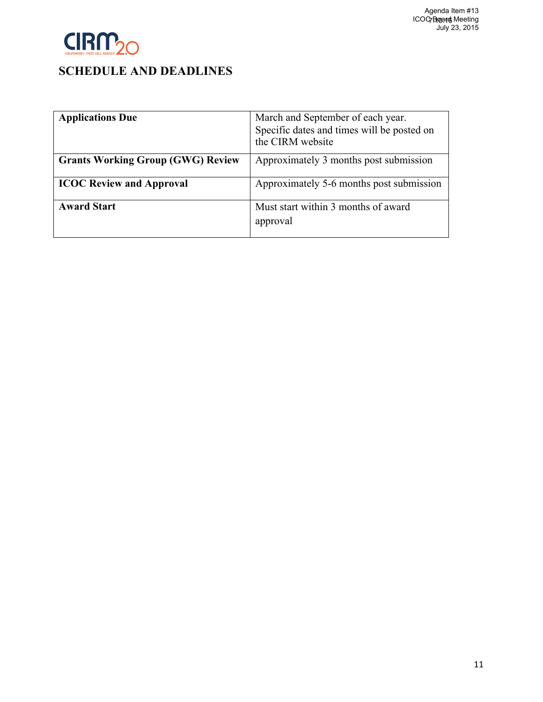

| <b>Applications Due</b>                  | March and September of each year.<br>Specific dates and times will be posted on<br>the CIRM website |
|------------------------------------------|-----------------------------------------------------------------------------------------------------|
| <b>Grants Working Group (GWG) Review</b> | Approximately 3 months post submission                                                              |
| <b>ICOC Review and Approval</b>          | Approximately 5-6 months post submission                                                            |
| <b>Award Start</b>                       | Must start within 3 months of award<br>approval                                                     |
|                                          |                                                                                                     |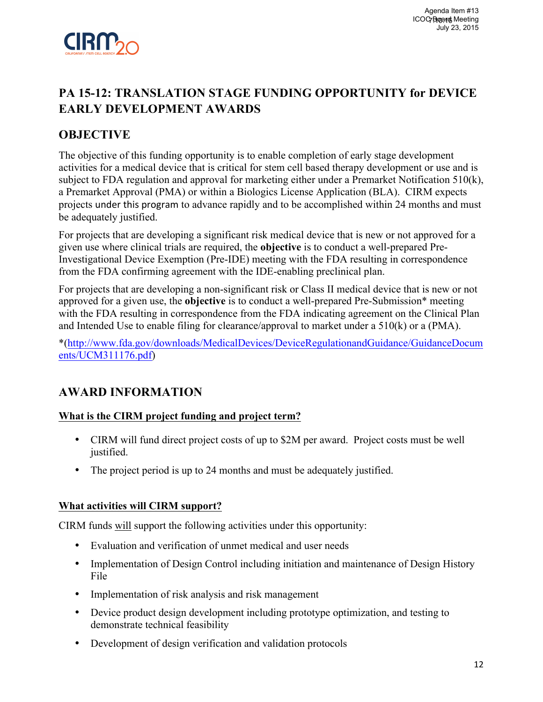

# **PA 15-12: TRANSLATION STAGE FUNDING OPPORTUNITY for DEVICE EARLY DEVELOPMENT AWARDS**

## **OBJECTIVE**

The objective of this funding opportunity is to enable completion of early stage development activities for a medical device that is critical for stem cell based therapy development or use and is subject to FDA regulation and approval for marketing either under a Premarket Notification 510(k), a Premarket Approval (PMA) or within a Biologics License Application (BLA). CIRM expects projects under this program to advance rapidly and to be accomplished within 24 months and must be adequately justified.

For projects that are developing a significant risk medical device that is new or not approved for a given use where clinical trials are required, the **objective** is to conduct a well-prepared Pre-Investigational Device Exemption (Pre-IDE) meeting with the FDA resulting in correspondence from the FDA confirming agreement with the IDE-enabling preclinical plan.

For projects that are developing a non-significant risk or Class II medical device that is new or not approved for a given use, the **objective** is to conduct a well-prepared Pre-Submission\* meeting with the FDA resulting in correspondence from the FDA indicating agreement on the Clinical Plan and Intended Use to enable filing for clearance/approval to market under a 510(k) or a (PMA).

\*(http://www.fda.gov/downloads/MedicalDevices/DeviceRegulationandGuidance/GuidanceDocum ents/UCM311176.pdf)

## **AWARD INFORMATION**

## **What is the CIRM project funding and project term?**

- CIRM will fund direct project costs of up to \$2M per award. Project costs must be well justified.
- The project period is up to 24 months and must be adequately justified.

#### **What activities will CIRM support?**

CIRM funds will support the following activities under this opportunity:

- Evaluation and verification of unmet medical and user needs
- Implementation of Design Control including initiation and maintenance of Design History File
- Implementation of risk analysis and risk management
- Device product design development including prototype optimization, and testing to demonstrate technical feasibility
- Development of design verification and validation protocols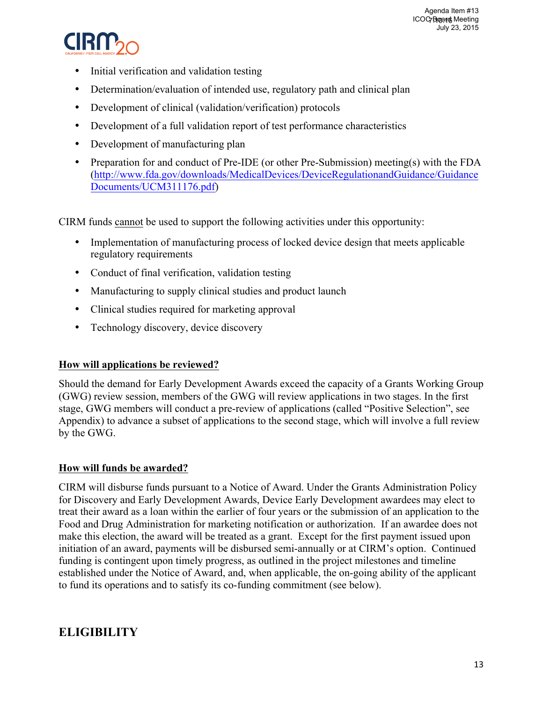

- Initial verification and validation testing
- Determination/evaluation of intended use, regulatory path and clinical plan
- Development of clinical (validation/verification) protocols
- Development of a full validation report of test performance characteristics
- Development of manufacturing plan
- Preparation for and conduct of Pre-IDE (or other Pre-Submission) meeting(s) with the FDA (http://www.fda.gov/downloads/MedicalDevices/DeviceRegulationandGuidance/Guidance Documents/UCM311176.pdf)

CIRM funds cannot be used to support the following activities under this opportunity:

- Implementation of manufacturing process of locked device design that meets applicable regulatory requirements
- Conduct of final verification, validation testing
- Manufacturing to supply clinical studies and product launch
- Clinical studies required for marketing approval
- Technology discovery, device discovery

## **How will applications be reviewed?**

Should the demand for Early Development Awards exceed the capacity of a Grants Working Group (GWG) review session, members of the GWG will review applications in two stages. In the first stage, GWG members will conduct a pre-review of applications (called "Positive Selection", see Appendix) to advance a subset of applications to the second stage, which will involve a full review by the GWG.

## **How will funds be awarded?**

CIRM will disburse funds pursuant to a Notice of Award. Under the Grants Administration Policy for Discovery and Early Development Awards, Device Early Development awardees may elect to treat their award as a loan within the earlier of four years or the submission of an application to the Food and Drug Administration for marketing notification or authorization. If an awardee does not make this election, the award will be treated as a grant. Except for the first payment issued upon initiation of an award, payments will be disbursed semi-annually or at CIRM's option. Continued funding is contingent upon timely progress, as outlined in the project milestones and timeline established under the Notice of Award, and, when applicable, the on-going ability of the applicant to fund its operations and to satisfy its co-funding commitment (see below).

## **ELIGIBILITY**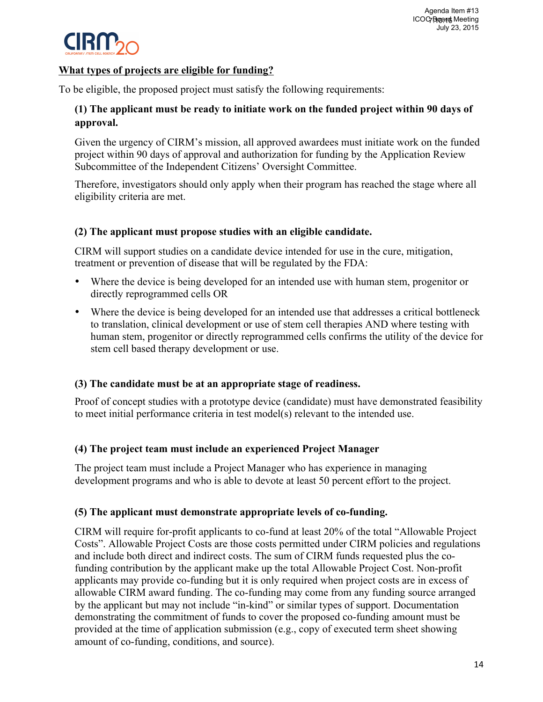

### **What types of projects are eligible for funding?**

To be eligible, the proposed project must satisfy the following requirements:

## **(1) The applicant must be ready to initiate work on the funded project within 90 days of approval.**

Given the urgency of CIRM's mission, all approved awardees must initiate work on the funded project within 90 days of approval and authorization for funding by the Application Review Subcommittee of the Independent Citizens' Oversight Committee.

Therefore, investigators should only apply when their program has reached the stage where all eligibility criteria are met.

### **(2) The applicant must propose studies with an eligible candidate.**

CIRM will support studies on a candidate device intended for use in the cure, mitigation, treatment or prevention of disease that will be regulated by the FDA:

- Where the device is being developed for an intended use with human stem, progenitor or directly reprogrammed cells OR
- Where the device is being developed for an intended use that addresses a critical bottleneck to translation, clinical development or use of stem cell therapies AND where testing with human stem, progenitor or directly reprogrammed cells confirms the utility of the device for stem cell based therapy development or use.

## **(3) The candidate must be at an appropriate stage of readiness.**

Proof of concept studies with a prototype device (candidate) must have demonstrated feasibility to meet initial performance criteria in test model(s) relevant to the intended use.

## **(4) The project team must include an experienced Project Manager**

The project team must include a Project Manager who has experience in managing development programs and who is able to devote at least 50 percent effort to the project.

## **(5) The applicant must demonstrate appropriate levels of co-funding.**

CIRM will require for-profit applicants to co-fund at least 20% of the total "Allowable Project Costs". Allowable Project Costs are those costs permitted under CIRM policies and regulations and include both direct and indirect costs. The sum of CIRM funds requested plus the cofunding contribution by the applicant make up the total Allowable Project Cost. Non-profit applicants may provide co-funding but it is only required when project costs are in excess of allowable CIRM award funding. The co-funding may come from any funding source arranged by the applicant but may not include "in-kind" or similar types of support. Documentation demonstrating the commitment of funds to cover the proposed co-funding amount must be provided at the time of application submission (e.g., copy of executed term sheet showing amount of co-funding, conditions, and source).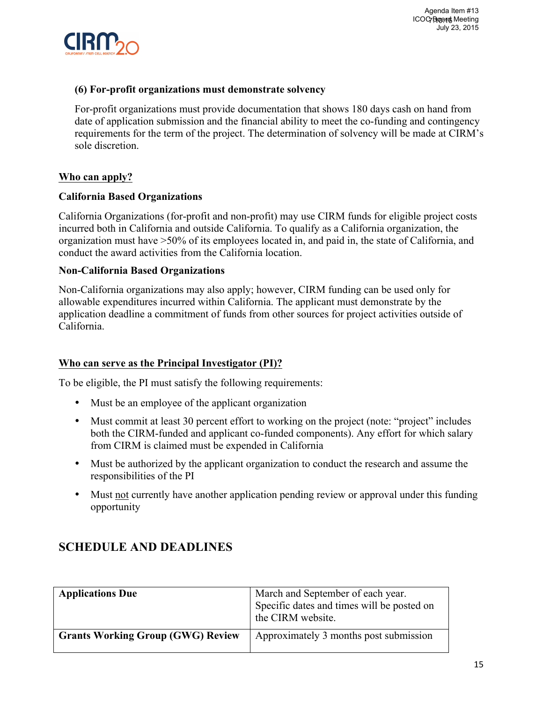

#### **(6) For-profit organizations must demonstrate solvency**

For-profit organizations must provide documentation that shows 180 days cash on hand from date of application submission and the financial ability to meet the co-funding and contingency requirements for the term of the project. The determination of solvency will be made at CIRM's sole discretion.

#### **Who can apply?**

#### **California Based Organizations**

California Organizations (for-profit and non-profit) may use CIRM funds for eligible project costs incurred both in California and outside California. To qualify as a California organization, the organization must have >50% of its employees located in, and paid in, the state of California, and conduct the award activities from the California location.

#### **Non-California Based Organizations**

Non-California organizations may also apply; however, CIRM funding can be used only for allowable expenditures incurred within California. The applicant must demonstrate by the application deadline a commitment of funds from other sources for project activities outside of California.

#### **Who can serve as the Principal Investigator (PI)?**

To be eligible, the PI must satisfy the following requirements:

- Must be an employee of the applicant organization
- Must commit at least 30 percent effort to working on the project (note: "project" includes both the CIRM-funded and applicant co-funded components). Any effort for which salary from CIRM is claimed must be expended in California
- Must be authorized by the applicant organization to conduct the research and assume the responsibilities of the PI
- Must not currently have another application pending review or approval under this funding opportunity

| <b>Applications Due</b>                  | March and September of each year.<br>Specific dates and times will be posted on<br>the CIRM website. |
|------------------------------------------|------------------------------------------------------------------------------------------------------|
| <b>Grants Working Group (GWG) Review</b> | Approximately 3 months post submission                                                               |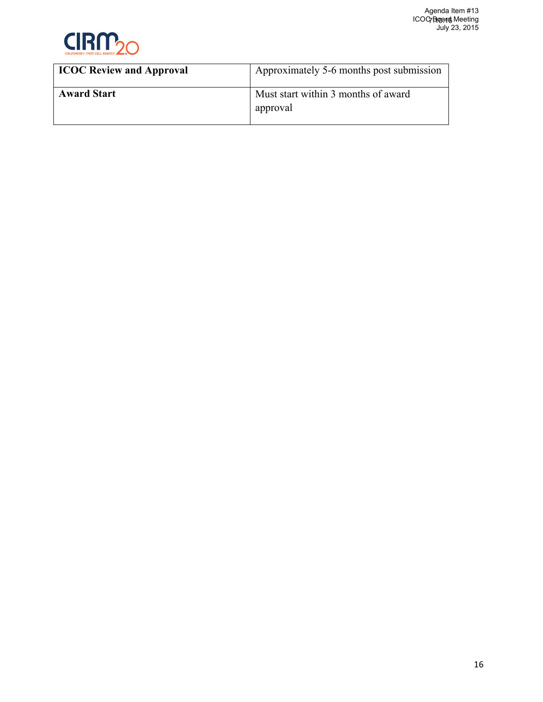

| <b>ICOC Review and Approval</b> | Approximately 5-6 months post submission        |
|---------------------------------|-------------------------------------------------|
| <b>Award Start</b>              | Must start within 3 months of award<br>approval |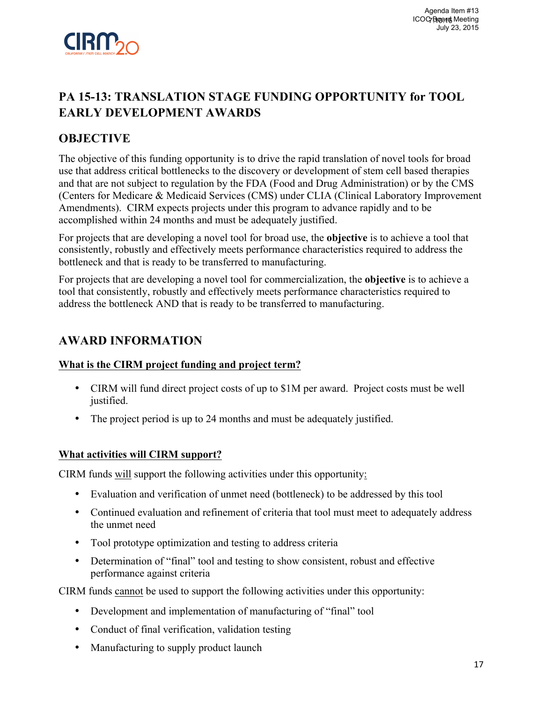

# **PA 15-13: TRANSLATION STAGE FUNDING OPPORTUNITY for TOOL EARLY DEVELOPMENT AWARDS**

## **OBJECTIVE**

The objective of this funding opportunity is to drive the rapid translation of novel tools for broad use that address critical bottlenecks to the discovery or development of stem cell based therapies and that are not subject to regulation by the FDA (Food and Drug Administration) or by the CMS (Centers for Medicare & Medicaid Services (CMS) under CLIA (Clinical Laboratory Improvement Amendments). CIRM expects projects under this program to advance rapidly and to be accomplished within 24 months and must be adequately justified.

For projects that are developing a novel tool for broad use, the **objective** is to achieve a tool that consistently, robustly and effectively meets performance characteristics required to address the bottleneck and that is ready to be transferred to manufacturing.

For projects that are developing a novel tool for commercialization, the **objective** is to achieve a tool that consistently, robustly and effectively meets performance characteristics required to address the bottleneck AND that is ready to be transferred to manufacturing.

## **AWARD INFORMATION**

#### **What is the CIRM project funding and project term?**

- CIRM will fund direct project costs of up to \$1M per award. Project costs must be well justified.
- The project period is up to 24 months and must be adequately justified.

#### **What activities will CIRM support?**

CIRM funds will support the following activities under this opportunity:

- Evaluation and verification of unmet need (bottleneck) to be addressed by this tool
- Continued evaluation and refinement of criteria that tool must meet to adequately address the unmet need
- Tool prototype optimization and testing to address criteria
- Determination of "final" tool and testing to show consistent, robust and effective performance against criteria

CIRM funds cannot be used to support the following activities under this opportunity:

- Development and implementation of manufacturing of "final" tool
- Conduct of final verification, validation testing
- Manufacturing to supply product launch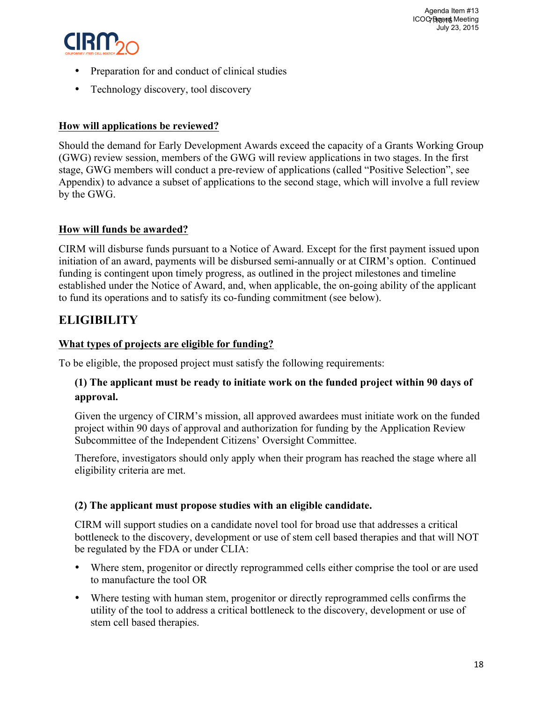

- Preparation for and conduct of clinical studies
- Technology discovery, tool discovery

## **How will applications be reviewed?**

Should the demand for Early Development Awards exceed the capacity of a Grants Working Group (GWG) review session, members of the GWG will review applications in two stages. In the first stage, GWG members will conduct a pre-review of applications (called "Positive Selection", see Appendix) to advance a subset of applications to the second stage, which will involve a full review by the GWG.

### **How will funds be awarded?**

CIRM will disburse funds pursuant to a Notice of Award. Except for the first payment issued upon initiation of an award, payments will be disbursed semi-annually or at CIRM's option. Continued funding is contingent upon timely progress, as outlined in the project milestones and timeline established under the Notice of Award, and, when applicable, the on-going ability of the applicant to fund its operations and to satisfy its co-funding commitment (see below).

## **ELIGIBILITY**

### **What types of projects are eligible for funding?**

To be eligible, the proposed project must satisfy the following requirements:

### **(1) The applicant must be ready to initiate work on the funded project within 90 days of approval.**

Given the urgency of CIRM's mission, all approved awardees must initiate work on the funded project within 90 days of approval and authorization for funding by the Application Review Subcommittee of the Independent Citizens' Oversight Committee.

Therefore, investigators should only apply when their program has reached the stage where all eligibility criteria are met.

#### **(2) The applicant must propose studies with an eligible candidate.**

CIRM will support studies on a candidate novel tool for broad use that addresses a critical bottleneck to the discovery, development or use of stem cell based therapies and that will NOT be regulated by the FDA or under CLIA:

- Where stem, progenitor or directly reprogrammed cells either comprise the tool or are used to manufacture the tool OR
- Where testing with human stem, progenitor or directly reprogrammed cells confirms the utility of the tool to address a critical bottleneck to the discovery, development or use of stem cell based therapies.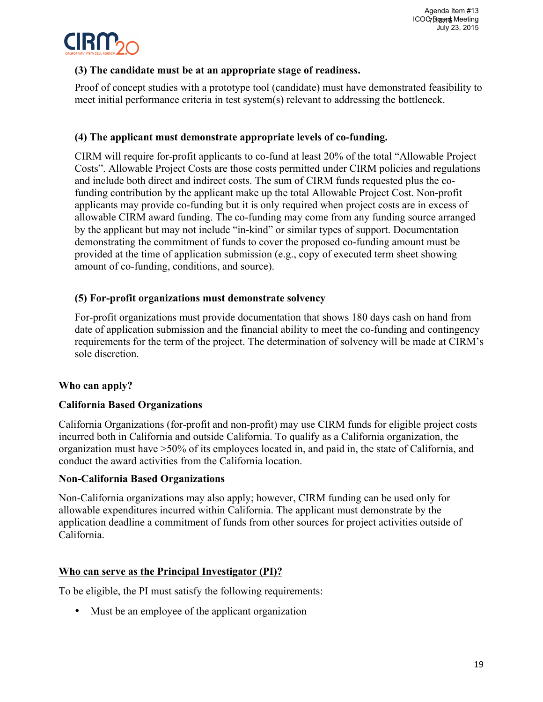

## **(3) The candidate must be at an appropriate stage of readiness.**

Proof of concept studies with a prototype tool (candidate) must have demonstrated feasibility to meet initial performance criteria in test system(s) relevant to addressing the bottleneck.

## **(4) The applicant must demonstrate appropriate levels of co-funding.**

CIRM will require for-profit applicants to co-fund at least 20% of the total "Allowable Project Costs". Allowable Project Costs are those costs permitted under CIRM policies and regulations and include both direct and indirect costs. The sum of CIRM funds requested plus the cofunding contribution by the applicant make up the total Allowable Project Cost. Non-profit applicants may provide co-funding but it is only required when project costs are in excess of allowable CIRM award funding. The co-funding may come from any funding source arranged by the applicant but may not include "in-kind" or similar types of support. Documentation demonstrating the commitment of funds to cover the proposed co-funding amount must be provided at the time of application submission (e.g., copy of executed term sheet showing amount of co-funding, conditions, and source).

#### **(5) For-profit organizations must demonstrate solvency**

For-profit organizations must provide documentation that shows 180 days cash on hand from date of application submission and the financial ability to meet the co-funding and contingency requirements for the term of the project. The determination of solvency will be made at CIRM's sole discretion.

## **Who can apply?**

#### **California Based Organizations**

California Organizations (for-profit and non-profit) may use CIRM funds for eligible project costs incurred both in California and outside California. To qualify as a California organization, the organization must have >50% of its employees located in, and paid in, the state of California, and conduct the award activities from the California location.

#### **Non-California Based Organizations**

Non-California organizations may also apply; however, CIRM funding can be used only for allowable expenditures incurred within California. The applicant must demonstrate by the application deadline a commitment of funds from other sources for project activities outside of California.

#### **Who can serve as the Principal Investigator (PI)?**

To be eligible, the PI must satisfy the following requirements:

• Must be an employee of the applicant organization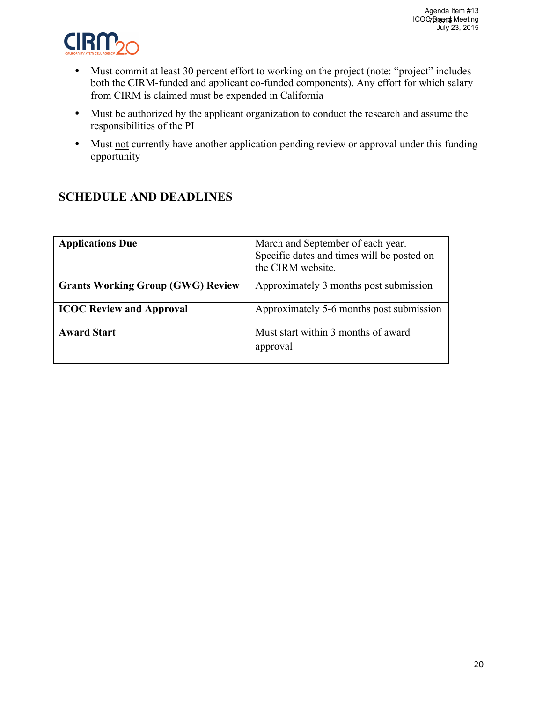

- Must commit at least 30 percent effort to working on the project (note: "project" includes both the CIRM-funded and applicant co-funded components). Any effort for which salary from CIRM is claimed must be expended in California
- Must be authorized by the applicant organization to conduct the research and assume the responsibilities of the PI
- Must not currently have another application pending review or approval under this funding opportunity

| <b>Applications Due</b>                  | March and September of each year.<br>Specific dates and times will be posted on<br>the CIRM website. |
|------------------------------------------|------------------------------------------------------------------------------------------------------|
| <b>Grants Working Group (GWG) Review</b> | Approximately 3 months post submission                                                               |
| <b>ICOC Review and Approval</b>          | Approximately 5-6 months post submission                                                             |
| <b>Award Start</b>                       | Must start within 3 months of award<br>approval                                                      |